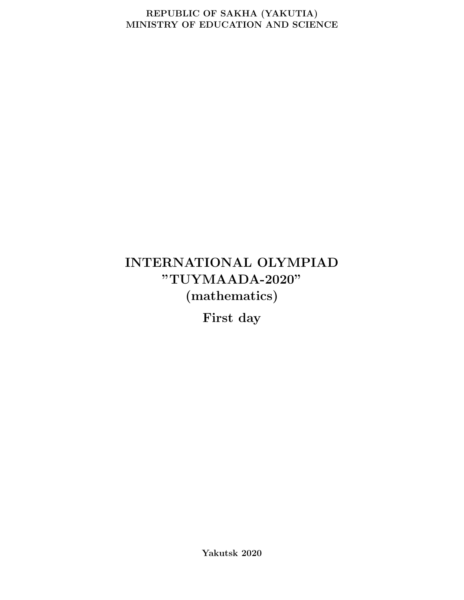#### REPUBLIC OF SAKHA (YAKUTIA) MINISTRY OF EDUCATION AND SCIENCE

# INTERNATIONAL OLYMPIAD "TUYMAADA-2020" (mathematics)

First day

Yakutsk 2020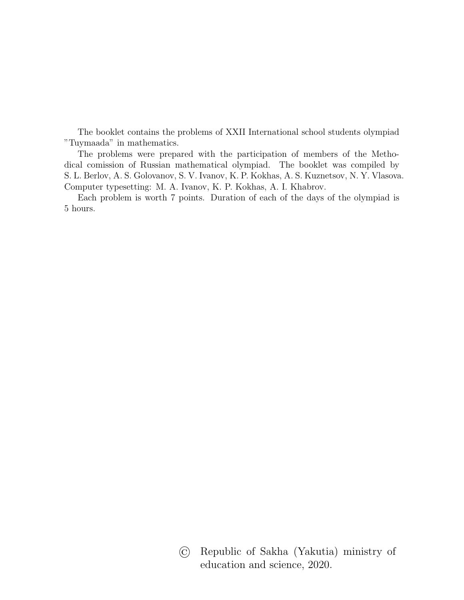The booklet contains the problems of XXII International school students olympiad "Tuymaada" in mathematics.

The problems were prepared with the participation of members of the Methodical comission of Russian mathematical olympiad. The booklet was compiled by S. L. Berlov, A. S. Golovanov, S. V. Ivanov, K. P. Kokhas, A. S. Kuznetsov, N. Y. Vlasova. Computer typesetting: M. A. Ivanov, K. P. Kokhas, A. I. Khabrov.

Each problem is worth 7 points. Duration of each of the days of the olympiad is 5 hours.

> © Republic of Sakha (Yakutia) ministry of education and science, 2020.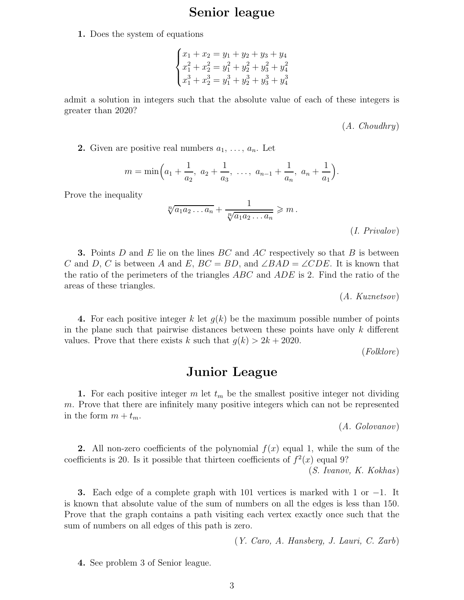# Senior league

1. Does the system of equations

$$
\begin{cases}\nx_1 + x_2 = y_1 + y_2 + y_3 + y_4 \\
x_1^2 + x_2^2 = y_1^2 + y_2^2 + y_3^2 + y_4^2 \\
x_1^3 + x_2^3 = y_1^3 + y_2^3 + y_3^3 + y_4^3\n\end{cases}
$$

admit a solution in integers such that the absolute value of each of these integers is greater than 2020?

(A. Choudhry)

**2.** Given are positive real numbers  $a_1, \ldots, a_n$ . Let

$$
m = \min\left(a_1 + \frac{1}{a_2}, a_2 + \frac{1}{a_3}, \ldots, a_{n-1} + \frac{1}{a_n}, a_n + \frac{1}{a_1}\right).
$$

Prove the inequality

$$
\sqrt[n]{a_1 a_2 \dots a_n} + \frac{1}{\sqrt[n]{a_1 a_2 \dots a_n}} \ge m.
$$
\n
$$
(I. \; Privalov)
$$

**3.** Points D and E lie on the lines  $BC$  and  $AC$  respectively so that B is between C and D, C is between A and E,  $BC = BD$ , and  $\angle BAD = \angle CDE$ . It is known that the ratio of the perimeters of the triangles ABC and ADE is 2. Find the ratio of the areas of these triangles.

(A. Kuznetsov)

4. For each positive integer k let  $g(k)$  be the maximum possible number of points in the plane such that pairwise distances between these points have only  $k$  different values. Prove that there exists k such that  $g(k) > 2k + 2020$ .

(Folklore)

# Junior League

1. For each positive integer m let  $t_m$  be the smallest positive integer not dividing m. Prove that there are infinitely many positive integers which can not be represented in the form  $m + t_m$ .

(A. Golovanov)

2. All non-zero coefficients of the polynomial  $f(x)$  equal 1, while the sum of the coefficients is 20. Is it possible that thirteen coefficients of  $f^2(x)$  equal 9?

(S. Ivanov, K. Kokhas)

**3.** Each edge of a complete graph with 101 vertices is marked with 1 or  $-1$ . It is known that absolute value of the sum of numbers on all the edges is less than 150. Prove that the graph contains a path visiting each vertex exactly once such that the sum of numbers on all edges of this path is zero.

(Y. Caro, A. Hansberg, J. Lauri, C. Zarb)

4. See problem 3 of Senior league.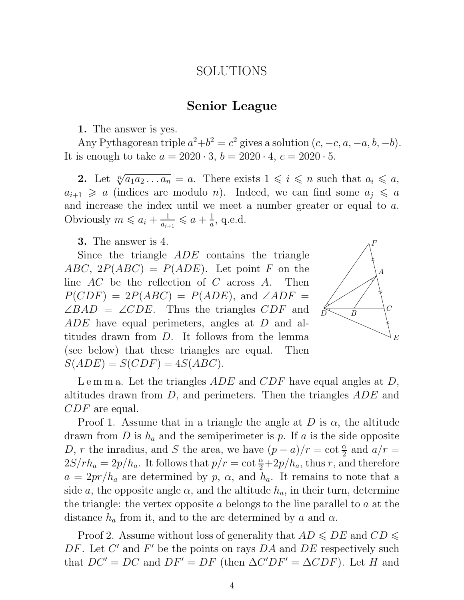#### SOLUTIONS

#### Senior League

1. The answer is yes.

Any Pythagorean triple  $a^2+b^2=c^2$  gives a solution  $(c, -c, a, -a, b, -b)$ . It is enough to take  $a = 2020 \cdot 3$ ,  $b = 2020 \cdot 4$ ,  $c = 2020 \cdot 5$ .

2. Let  $\sqrt[n]{a_1 a_2 \dots a_n} = a$ . There exists  $1 \leq i \leq n$  such that  $a_i \leq a$ ,  $a_{i+1} \geq a$  (indices are modulo *n*). Indeed, we can find some  $a_i \leq a$ and increase the index until we meet a number greater or equal to a. Obviously  $m \leqslant a_i + \frac{1}{a_i}$  $\frac{1}{a_{i+1}} \leqslant a + \frac{1}{a}$  $\frac{1}{a}$ , q.e.d.

**3.** The answer is 4.

Since the triangle ADE contains the triangle  $ABC, 2P(ABC) = P(ADE)$ . Let point F on the line  $AC$  be the reflection of  $C$  across  $A$ . Then  $P(CDF) = 2P(ABC) = P(ADE)$ , and  $\angle ADF =$  $\angle BAD = \angle CDE$ . Thus the triangles CDF and ADE have equal perimeters, angles at D and altitudes drawn from D. It follows from the lemma (see below) that these triangles are equal. Then  $S(ADE) = S(CDF) = 4S(ABC).$ 



Lemma. Let the triangles  $ADE$  and  $CDF$  have equal angles at D, altitudes drawn from D, and perimeters. Then the triangles ADE and CDF are equal.

Proof 1. Assume that in a triangle the angle at D is  $\alpha$ , the altitude drawn from D is  $h_a$  and the semiperimeter is p. If a is the side opposite D, r the inradius, and S the area, we have  $(p - a)/r = \cot \frac{\alpha}{2}$  and  $a/r =$  $2S/rh_a = 2p/h_a$ . It follows that  $p/r = \cot \frac{\alpha}{2} + 2p/h_a$ , thus r, and therefore  $a = 2pr/h_a$  are determined by p,  $\alpha$ , and  $h_a$ . It remains to note that a side a, the opposite angle  $\alpha$ , and the altitude  $h_a$ , in their turn, determine the triangle: the vertex opposite a belongs to the line parallel to a at the distance  $h_a$  from it, and to the arc determined by a and  $\alpha$ .

Proof 2. Assume without loss of generality that  $AD \leq DE$  and  $CD \leq$ DF. Let  $C'$  and  $F'$  be the points on rays DA and DE respectively such that  $DC' = DC$  and  $DF' = DF$  (then  $\Delta C'DF' = \Delta CDF$ ). Let H and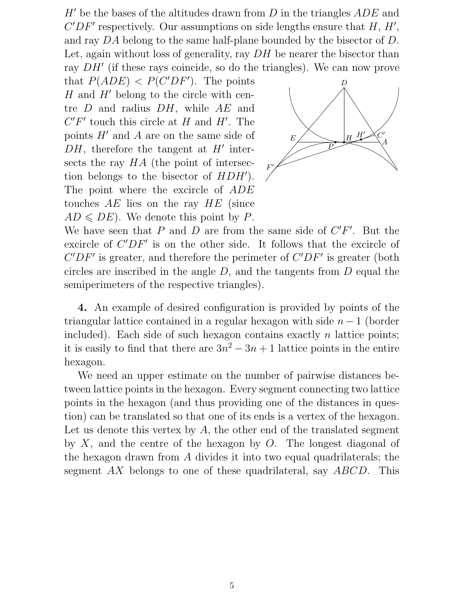$H'$  be the bases of the altitudes drawn from  $D$  in the triangles  $ADE$  and  $C'DF'$  respectively. Our assumptions on side lengths ensure that  $H, H',$ and ray DA belong to the same half-plane bounded by the bisector of D. Let, again without loss of generality, ray DH be nearer the bisector than ray DH′ (if these rays coincide, so do the triangles). We can now prove

that  $P(ADE) < P(C'DF')$ . The points  $H$  and  $H'$  belong to the circle with centre  $D$  and radius  $DH$ , while  $AE$  and  $C'F'$  touch this circle at H and H'. The points  $H'$  and  $A$  are on the same side of  $DH$ , therefore the tangent at  $H'$  intersects the ray HA (the point of intersection belongs to the bisector of HDH′ ). The point where the excircle of ADE touches AE lies on the ray HE (since  $AD \leq DE$ . We denote this point by P.



We have seen that P and D are from the same side of  $C'F'$ . But the excircle of  $C'DF'$  is on the other side. It follows that the excircle of  $C'DF'$  is greater, and therefore the perimeter of  $C'DF'$  is greater (both circles are inscribed in the angle  $D$ , and the tangents from  $D$  equal the semiperimeters of the respective triangles).

4. An example of desired configuration is provided by points of the triangular lattice contained in a regular hexagon with side  $n-1$  (border included). Each side of such hexagon contains exactly  $n$  lattice points; it is easily to find that there are  $3n^2 - 3n + 1$  lattice points in the entire hexagon.

We need an upper estimate on the number of pairwise distances between lattice points in the hexagon. Every segment connecting two lattice points in the hexagon (and thus providing one of the distances in question) can be translated so that one of its ends is a vertex of the hexagon. Let us denote this vertex by  $A$ , the other end of the translated segment by  $X$ , and the centre of the hexagon by  $O$ . The longest diagonal of the hexagon drawn from A divides it into two equal quadrilaterals; the segment AX belongs to one of these quadrilateral, say ABCD. This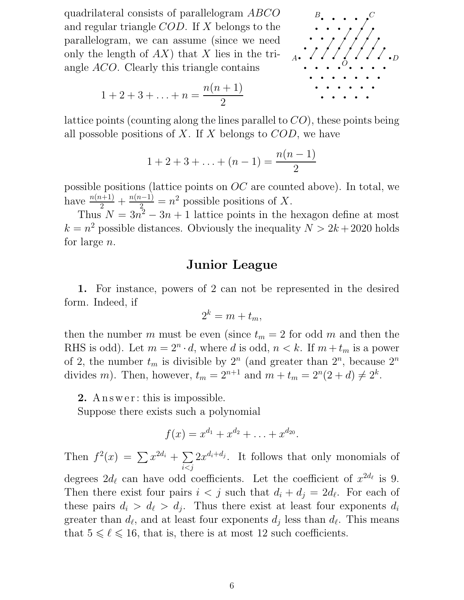quadrilateral consists of parallelogram ABCO and regular triangle COD. If X belongs to the parallelogram, we can assume (since we need only the length of  $AX$ ) that X lies in the triangle ACO. Clearly this triangle contains



$$
1 + 2 + 3 + \ldots + n = \frac{n(n+1)}{2}
$$

lattice points (counting along the lines parallel to CO), these points being all possoble positions of X. If X belongs to  $COD$ , we have

$$
1 + 2 + 3 + \ldots + (n - 1) = \frac{n(n - 1)}{2}
$$

possible positions (lattice points on OC are counted above). In total, we have  $\frac{n(n+1)}{2} + \frac{n(n-1)}{2} = n^2$  possible positions of X.

Thus  $N = 3n^2 - 3n + 1$  lattice points in the hexagon define at most  $k = n^2$  possible distances. Obviously the inequality  $N > 2k + 2020$  holds for large n.

# Junior League

1. For instance, powers of 2 can not be represented in the desired form. Indeed, if

$$
2^k = m + t_m,
$$

then the number m must be even (since  $t_m = 2$  for odd m and then the RHS is odd). Let  $m = 2^n \cdot d$ , where d is odd,  $n < k$ . If  $m + t_m$  is a power of 2, the number  $t_m$  is divisible by  $2^n$  (and greater than  $2^n$ , because  $2^n$ divides *m*). Then, however,  $t_m = 2^{n+1}$  and  $m + t_m = 2^n(2 + d) \neq 2^k$ .

**2.** A n s we r : this is impossible.

Suppose there exists such a polynomial

$$
f(x) = x^{d_1} + x^{d_2} + \ldots + x^{d_{20}}.
$$

Then  $f^2(x) = \sum x^{2d_i} + \sum$  $i < j$  $2x^{d_i+d_j}$ . It follows that only monomials of degrees  $2d_{\ell}$  can have odd coefficients. Let the coefficient of  $x^{2d_{\ell}}$  is 9. Then there exist four pairs  $i < j$  such that  $d_i + d_j = 2d_\ell$ . For each of these pairs  $d_i > d_\ell > d_j$ . Thus there exist at least four exponents  $d_i$ greater than  $d_{\ell}$ , and at least four exponents  $d_j$  less than  $d_{\ell}$ . This means that  $5 \leq \ell \leq 16$ , that is, there is at most 12 such coefficients.